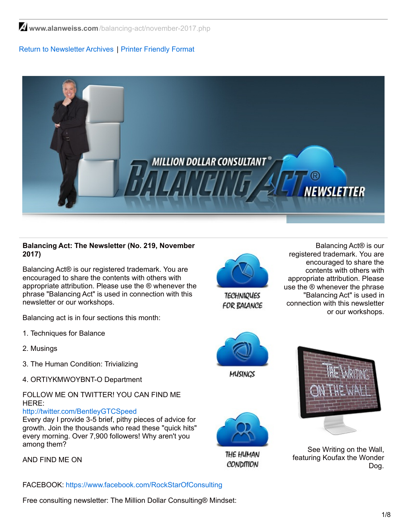$\blacktriangle$  www.alanweiss.com[/balancing-act/november-2017.php](https://www.alanweiss.com/balancing-act/november-2017.php)

# Return to [Newsletter](http://www.alanweiss.com/balancing-act-newsletter/) Archives | Printer [Friendly](http://www.alanweiss.com/balancing-act/october-2017.pdf) Format



# **Balancing Act: The Newsletter (No. 219, November 2017)**

Balancing Act® is our registered trademark. You are encouraged to share the contents with others with appropriate attribution. Please use the ® whenever the phrase "Balancing Act" is used in connection with this newsletter or our workshops.

Balancing act is in four sections this month:

- 1. Techniques for Balance
- 2. Musings
- 3. The Human Condition: Trivializing
- 4. ORTIYKMWOYBNT-O Department

# FOLLOW ME ON TWITTER! YOU CAN FIND ME HERE:

<http://twitter.com/BentleyGTCSpeed>

Every day I provide 3-5 brief, pithy pieces of advice for growth. Join the thousands who read these "quick hits" every morning. Over 7,900 followers! Why aren't you among them?

AND FIND ME ON

FACEBOOK: [https://www.facebook.com/RockStarOfConsulting](http://www.facebook.com/profile.php?id=788474935&ref=profile)

Free consulting newsletter: The Million Dollar Consulting® Mindset:



**TECHNIQUES FOR BALANCE** 

Balancing Act® is our registered trademark. You are encouraged to share the contents with others with appropriate attribution. Please use the ® whenever the phrase "Balancing Act" is used in connection with this newsletter or our workshops.



THE HUMAN **CONDITION** 



See Writing on the Wall, featuring Koufax the Wonder Dog.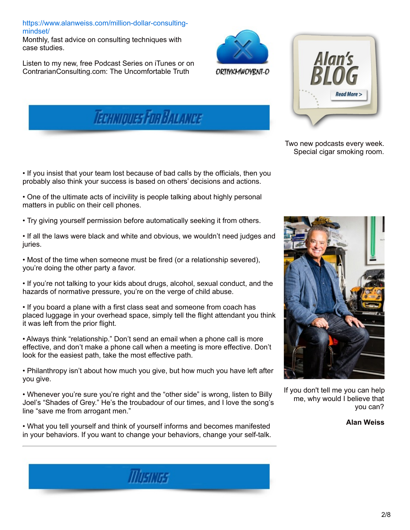[https://www.alanweiss.com/million-dollar-consulting](https://www.alanweiss.com/million-dollar-consulting-mindset/)mindset/

Monthly, fast advice on consulting techniques with case studies.

Listen to my new, free Podcast Series on iTunes or on ContrarianConsulting.com: The Uncomfortable Truth





Two new podcasts every week. Special cigar smoking room.



• If you insist that your team lost because of bad calls by the officials, then you probably also think your success is based on others' decisions and actions.

• One of the ultimate acts of incivility is people talking about highly personal matters in public on their cell phones.

• Try giving yourself permission before automatically seeking it from others.

• If all the laws were black and white and obvious, we wouldn't need judges and juries.

• Most of the time when someone must be fired (or a relationship severed), you're doing the other party a favor.

• If you're not talking to your kids about drugs, alcohol, sexual conduct, and the hazards of normative pressure, you're on the verge of child abuse.

• If you board a plane with a first class seat and someone from coach has placed luggage in your overhead space, simply tell the flight attendant you think it was left from the prior flight.

• Always think "relationship." Don't send an email when a phone call is more effective, and don't make a phone call when a meeting is more effective. Don't look for the easiest path, take the most effective path.

• Philanthropy isn't about how much you give, but how much you have left after you give.

• Whenever you're sure you're right and the "other side" is wrong, listen to Billy Joel's "Shades of Grey." He's the troubadour of our times, and I love the song's line "save me from arrogant men."

• What you tell yourself and think of yourself informs and becomes manifested in your behaviors. If you want to change your behaviors, change your self-talk.



If you don't tell me you can help me, why would I believe that you can?

**Alan Weiss**

**MUSINES**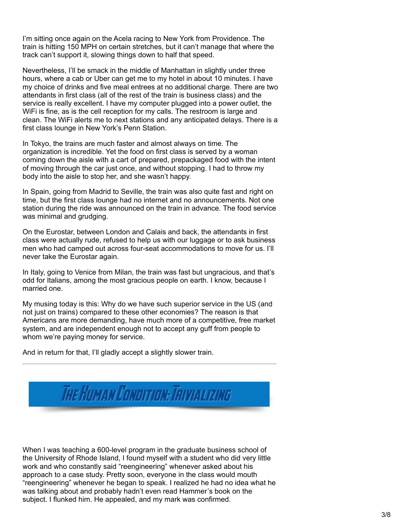I'm sitting once again on the Acela racing to New York from Providence. The train is hitting 150 MPH on certain stretches, but it can't manage that where the track can't support it, slowing things down to half that speed.

Nevertheless, I'll be smack in the middle of Manhattan in slightly under three hours, where a cab or Uber can get me to my hotel in about 10 minutes. I have my choice of drinks and five meal entrees at no additional charge. There are two attendants in first class (all of the rest of the train is business class) and the service is really excellent. I have my computer plugged into a power outlet, the WiFi is fine, as is the cell reception for my calls. The restroom is large and clean. The WiFi alerts me to next stations and any anticipated delays. There is a first class lounge in New York's Penn Station.

In Tokyo, the trains are much faster and almost always on time. The organization is incredible. Yet the food on first class is served by a woman coming down the aisle with a cart of prepared, prepackaged food with the intent of moving through the car just once, and without stopping. I had to throw my body into the aisle to stop her, and she wasn't happy.

In Spain, going from Madrid to Seville, the train was also quite fast and right on time, but the first class lounge had no internet and no announcements. Not one station during the ride was announced on the train in advance. The food service was minimal and grudging.

On the Eurostar, between London and Calais and back, the attendants in first class were actually rude, refused to help us with our luggage or to ask business men who had camped out across four-seat accommodations to move for us. I'll never take the Eurostar again.

In Italy, going to Venice from Milan, the train was fast but ungracious, and that's odd for Italians, among the most gracious people on earth. I know, because I married one.

My musing today is this: Why do we have such superior service in the US (and not just on trains) compared to these other economies? The reason is that Americans are more demanding, have much more of a competitive, free market system, and are independent enough not to accept any guff from people to whom we're paying money for service.

And in return for that, I'll gladly accept a slightly slower train.



When I was teaching a 600-level program in the graduate business school of the University of Rhode Island, I found myself with a student who did very little work and who constantly said "reengineering" whenever asked about his approach to a case study. Pretty soon, everyone in the class would mouth "reengineering" whenever he began to speak. I realized he had no idea what he was talking about and probably hadn't even read Hammer's book on the subject. I flunked him. He appealed, and my mark was confirmed.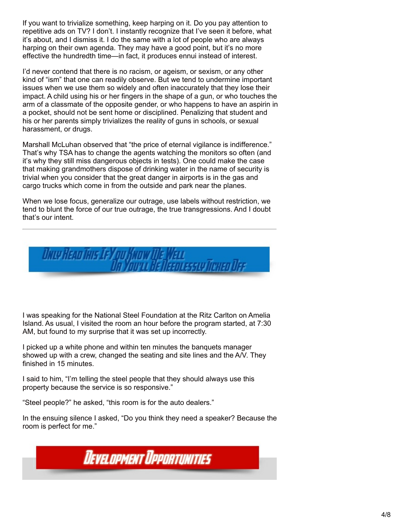If you want to trivialize something, keep harping on it. Do you pay attention to repetitive ads on TV? I don't. I instantly recognize that I've seen it before, what it's about, and I dismiss it. I do the same with a lot of people who are always harping on their own agenda. They may have a good point, but it's no more effective the hundredth time—in fact, it produces ennui instead of interest.

I'd never contend that there is no racism, or ageism, or sexism, or any other kind of "ism" that one can readily observe. But we tend to undermine important issues when we use them so widely and often inaccurately that they lose their impact. A child using his or her fingers in the shape of a gun, or who touches the arm of a classmate of the opposite gender, or who happens to have an aspirin in a pocket, should not be sent home or disciplined. Penalizing that student and his or her parents simply trivializes the reality of guns in schools, or sexual harassment, or drugs.

Marshall McLuhan observed that "the price of eternal vigilance is indifference." That's why TSA has to change the agents watching the monitors so often (and it's why they still miss dangerous objects in tests). One could make the case that making grandmothers dispose of drinking water in the name of security is trivial when you consider that the great danger in airports is in the gas and cargo trucks which come in from the outside and park near the planes.

When we lose focus, generalize our outrage, use labels without restriction, we tend to blunt the force of our true outrage, the true transgressions. And I doubt that's our intent.



I was speaking for the National Steel Foundation at the Ritz Carlton on Amelia Island. As usual, I visited the room an hour before the program started, at 7:30 AM, but found to my surprise that it was set up incorrectly.

I picked up a white phone and within ten minutes the banquets manager showed up with a crew, changed the seating and site lines and the A/V. They finished in 15 minutes.

I said to him, "I'm telling the steel people that they should always use this property because the service is so responsive."

"Steel people?" he asked, "this room is for the auto dealers."

In the ensuing silence I asked, "Do you think they need a speaker? Because the room is perfect for me."

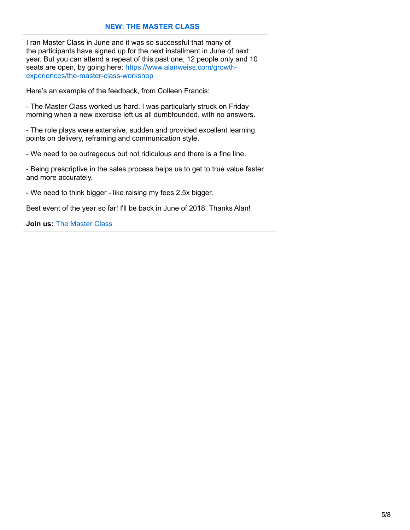I ran Master Class in June and it was so successful that many of the participants have signed up for the next installment in June of next year. But you can attend a repeat of this past one, 12 people only and 10 seats are open, by going here: https://www.alanweiss.com/growth[experiences/the-master-class-workshop](https://www.alanweiss.com/growth-experiences/the-master-class-workshop)

Here's an example of the feedback, from Colleen Francis:

- The Master Class worked us hard. I was particularly struck on Friday morning when a new exercise left us all dumbfounded, with no answers.

- The role plays were extensive, sudden and provided excellent learning points on delivery, reframing and communication style.

- We need to be outrageous but not ridiculous and there is a fine line.

- Being prescriptive in the sales process helps us to get to true value faster and more accurately.

- We need to think bigger - like raising my fees 2.5x bigger.

Best event of the year so far! I'll be back in June of 2018. Thanks Alan!

**Join us:** The [Master](http://www.alanweiss.com/growth-experiences/the-master-class-workshop/) Class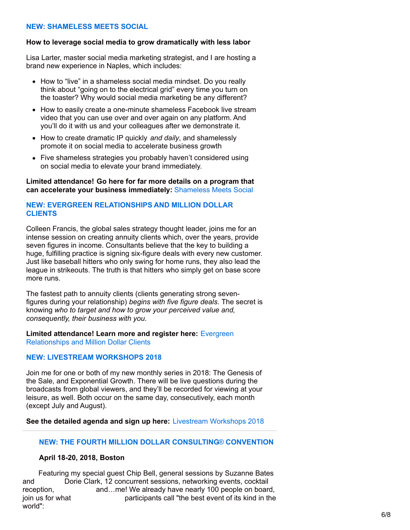#### **NEW: [SHAMELESS](https://www.alanweiss.com/growth-experiences/shameless-meets-social/) MEETS SOCIAL**

#### **How to leverage social media to grow dramatically with less labor**

Lisa Larter, master social media marketing strategist, and I are hosting a brand new experience in Naples, which includes:

- How to "live" in a shameless social media mindset. Do you really think about "going on to the electrical grid" every time you turn on the toaster? Why would social media marketing be any different?
- How to easily create a one-minute shameless Facebook live stream video that you can use over and over again on any platform. And you'll do it with us and your colleagues after we demonstrate it.
- How to create dramatic IP quickly *and daily*, and shamelessly promote it on social media to accelerate business growth
- Five shameless strategies you probably haven't considered using on social media to elevate your brand immediately.

#### **Limited attendance! Go here for far more details on a program that can accelerate your business immediately:** [Shameless](https://www.alanweiss.com/growth-experiences/shameless-meets-social/) Meets Social

## **NEW: EVERGREEN [RELATIONSHIPS](https://www.alanweiss.com/growth-experiences/never-ending-value-evergreen-relationships-lifelong-business/) AND MILLION DOLLAR CLIENTS**

Colleen Francis, the global sales strategy thought leader, joins me for an intense session on creating annuity clients which, over the years, provide seven figures in income. Consultants believe that the key to building a huge, fulfilling practice is signing six-figure deals with every new customer. Just like baseball hitters who only swing for home runs, they also lead the league in strikeouts. The truth is that hitters who simply get on base score more runs.

The fastest path to annuity clients (clients generating strong sevenfigures during your relationship) *begins with five figure deals*. The secret is knowing *who to target and how to grow your perceived value and, consequently, their business with you.*

**Limited [attendance!](https://www.alanweiss.com/growth-experiences/never-ending-value-evergreen-relationships-lifelong-business/) Learn more and register here:** Evergreen Relationships and Million Dollar Clients

## **NEW: LIVESTREAM [WORKSHOPS](https://www.alanweiss.com/growth-experiences/livestream-experiences-2018/) 2018**

Join me for one or both of my new monthly series in 2018: The Genesis of the Sale, and Exponential Growth. There will be live questions during the broadcasts from global viewers, and they'll be recorded for viewing at your leisure, as well. Both occur on the same day, consecutively, each month (except July and August).

**See the detailed agenda and sign up here:** Livestream [Workshops](https://www.alanweiss.com/growth-experiences/livestream-experiences-2018/) 2018

## **NEW: THE FOURTH MILLION DOLLAR [CONSULTING](https://www.alanweiss.com/growth-experiences/million-dollar-consulting-convention-2018/)**[®](https://www.alanweiss.com/growth-experiences/million-dollar-consulting-convention-2018/) **[CONVENTION](https://www.alanweiss.com/growth-experiences/million-dollar-consulting-convention-2018/)**

## **April 18-20, 2018, Boston**

Featuring my special guest Chip Bell, general sessions by Suzanne Bates and Dorie Clark, 12 concurrent sessions, networking events, cocktail reception, and…me! We already have nearly 100 people on board, join us for what participants call "the best event of its kind in the world":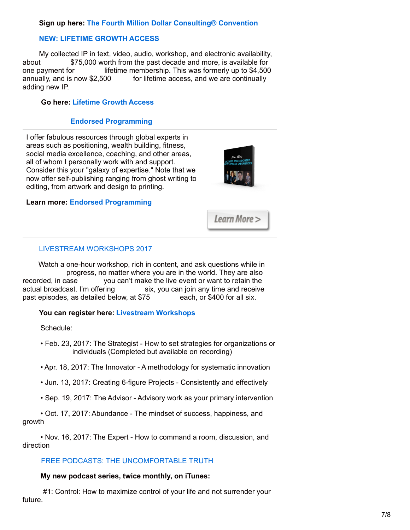## **Sign up here: The Fourth Million Dollar [Consulting®](https://www.alanweiss.com/growth-experiences/million-dollar-consulting-convention-2018/) Convention**

# **NEW: [LIFETIME](https://www.alanweiss.com/store/online-learning/alans-million-dollar-consulting-growth-access/) GROWTH ACCESS**

My collected IP in text, video, audio, workshop, and electronic availability, about \$75,000 worth from the past decade and more, is available for one payment for lifetime membership. This was formerly up to \$4,500 annually, and is now \$2,500 for lifetime access, and we are continually adding new IP.

#### **Go here: [Lifetime](https://www.alanweiss.com/store/online-learning/alans-million-dollar-consulting-growth-access/) Growth Access**

# **Endorsed [Programming](http://www.alanweiss.com/growth-experiences/licensed-and-endorsed-development-experiences/)**

I offer fabulous resources through global experts in areas such as positioning, wealth building, fitness, social media excellence, coaching, and other areas, all of whom I personally work with and support. Consider this your "galaxy of expertise." Note that we now offer self-publishing ranging from ghost writing to editing, from artwork and design to printing.



Learn More >

#### **Learn more: Endorsed [Programming](http://www.alanweiss.com/growth-experiences/licensed-and-endorsed-development-experiences/)**



Watch a one-hour workshop, rich in content, and ask questions while in progress, no matter where you are in the world. They are also recorded, in case you can't make the live event or want to retain the actual broadcast. I'm offering six, you can join any time and receive past episodes, as detailed below, at \$75 each, or \$400 for all six.

## **You can register here: Livestream [Workshops](https://www.alanweiss.com/growth-experiences/livestream-workshops/)**

Schedule:

- Feb. 23, 2017: The Strategist How to set strategies for organizations or individuals (Completed but available on recording)
- Apr. 18, 2017: The Innovator A methodology for systematic innovation
- Jun. 13, 2017: Creating 6-figure Projects Consistently and effectively
- Sep. 19, 2017: The Advisor Advisory work as your primary intervention

• Oct. 17, 2017: Abundance - The mindset of success, happiness, and growth

• Nov. 16, 2017: The Expert - How to command a room, discussion, and direction

#### FREE PODCASTS: THE [UNCOMFORTABLE](https://itunes.apple.com/podcast/alan-weiss-the-uncomfortable-truth/id1208575899?mt=2) TRUTH

## **My new podcast series, twice monthly, on iTunes:**

#1: Control: How to maximize control of your life and not surrender your future.